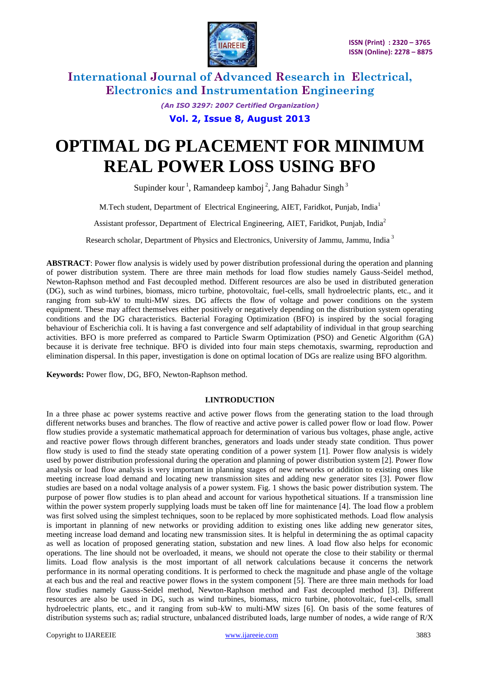

> *(An ISO 3297: 2007 Certified Organization)* **Vol. 2, Issue 8, August 2013**

# **OPTIMAL DG PLACEMENT FOR MINIMUM REAL POWER LOSS USING BFO**

Supinder kour<sup>1</sup>, Ramandeep kamboj<sup>2</sup>, Jang Bahadur Singh<sup>3</sup>

M.Tech student, Department of Electrical Engineering, AIET, Faridkot, Punjab, India<sup>1</sup>

Assistant professor, Department of Electrical Engineering, AIET, Faridkot, Punjab, India<sup>2</sup>

Research scholar, Department of Physics and Electronics, University of Jammu, Jammu, India <sup>3</sup>

**ABSTRACT**: Power flow analysis is widely used by power distribution professional during the operation and planning of power distribution system. There are three main methods for load flow studies namely Gauss-Seidel method, Newton-Raphson method and Fast decoupled method. Different resources are also be used in distributed generation (DG), such as wind turbines, biomass, micro turbine, photovoltaic, fuel-cells, small hydroelectric plants, etc., and it ranging from sub-kW to multi-MW sizes. DG affects the flow of voltage and power conditions on the system equipment. These may affect themselves either positively or negatively depending on the distribution system operating conditions and the DG characteristics. Bacterial Foraging Optimization (BFO) is inspired by the social foraging behaviour of Escherichia coli. It is having a fast convergence and self adaptability of individual in that group searching activities. BFO is more preferred as compared to Particle Swarm Optimization (PSO) and Genetic Algorithm (GA) because it is derivate free technique. BFO is divided into four main steps chemotaxis, swarming, reproduction and elimination dispersal. In this paper, investigation is done on optimal location of DGs are realize using BFO algorithm.

**Keywords:** Power flow, DG, BFO, Newton-Raphson method.

#### **I.INTRODUCTION**

In a three phase ac power systems reactive and active power flows from the generating station to the load through different networks buses and branches. The flow of reactive and active power is called power flow or load flow. Power flow studies provide a systematic mathematical approach for determination of various bus voltages, phase angle, active and reactive power flows through different branches, generators and loads under steady state condition. Thus power flow study is used to find the steady state operating condition of a power system [1]. Power flow analysis is widely used by power distribution professional during the operation and planning of power distribution system [2]. Power flow analysis or load flow analysis is very important in planning stages of new networks or addition to existing ones like meeting increase load demand and locating new transmission sites and adding new generator sites [3]. Power flow studies are based on a nodal voltage analysis of a power system. Fig. 1 shows the basic power distribution system. The purpose of power flow studies is to plan ahead and account for various hypothetical situations. If a transmission line within the power system properly supplying loads must be taken off line for maintenance [4]. The load flow a problem was first solved using the simplest techniques, soon to be replaced by more sophisticated methods. Load flow analysis is important in planning of new networks or providing addition to existing ones like adding new generator sites, meeting increase load demand and locating new transmission sites. It is helpful in determining the as optimal capacity as well as location of proposed generating station, substation and new lines. A load flow also helps for economic operations. The line should not be overloaded, it means, we should not operate the close to their stability or thermal limits. Load flow analysis is the most important of all network calculations because it concerns the network performance in its normal operating conditions. It is performed to check the magnitude and phase angle of the voltage at each bus and the real and reactive power flows in the system component [5]. There are three main methods for load flow studies namely Gauss-Seidel method, Newton-Raphson method and Fast decoupled method [3]. Different resources are also be used in DG, such as wind turbines, biomass, micro turbine, photovoltaic, fuel-cells, small hydroelectric plants, etc., and it ranging from sub-kW to multi-MW sizes [6]. On basis of the some features of distribution systems such as; radial structure, unbalanced distributed loads, large number of nodes, a wide range of R/X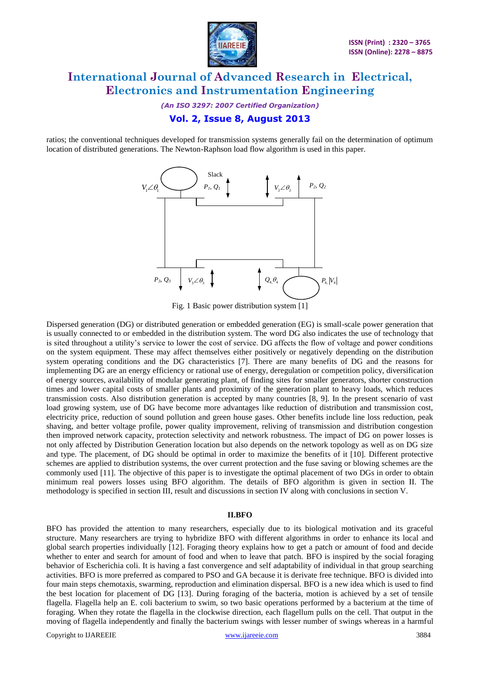

*(An ISO 3297: 2007 Certified Organization)* **Vol. 2, Issue 8, August 2013**

ratios; the conventional techniques developed for transmission systems generally fail on the determination of optimum location of distributed generations. The Newton-Raphson load flow algorithm is used in this paper.



Fig. 1 Basic power distribution system [1]

Dispersed generation (DG) or distributed generation or embedded generation (EG) is small-scale power generation that is usually connected to or embedded in the distribution system. The word DG also indicates the use of technology that is sited throughout a utility's service to lower the cost of service. DG affects the flow of voltage and power conditions on the system equipment. These may affect themselves either positively or negatively depending on the distribution system operating conditions and the DG characteristics [7]. There are many benefits of DG and the reasons for implementing DG are an energy efficiency or rational use of energy, deregulation or competition policy, diversification of energy sources, availability of modular generating plant, of finding sites for smaller generators, shorter construction times and lower capital costs of smaller plants and proximity of the generation plant to heavy loads, which reduces transmission costs. Also distribution generation is accepted by many countries [8, 9]. In the present scenario of vast load growing system, use of DG have become more advantages like reduction of distribution and transmission cost, electricity price, reduction of sound pollution and green house gases. Other benefits include line loss reduction, peak shaving, and better voltage profile, power quality improvement, reliving of transmission and distribution congestion then improved network capacity, protection selectivity and network robustness. The impact of DG on power losses is not only affected by Distribution Generation location but also depends on the network topology as well as on DG size and type. The placement, of DG should be optimal in order to maximize the benefits of it [10]. Different protective schemes are applied to distribution systems, the over current protection and the fuse saving or blowing schemes are the commonly used [11]. The objective of this paper is to investigate the optimal placement of two DGs in order to obtain minimum real powers losses using BFO algorithm. The details of BFO algorithm is given in section II. The methodology is specified in section III, result and discussions in section IV along with conclusions in section V.

#### **II.BFO**

BFO has provided the attention to many researchers, especially due to its biological motivation and its graceful structure. Many researchers are trying to hybridize BFO with different algorithms in order to enhance its local and global search properties individually [12]. Foraging theory explains how to get a patch or amount of food and decide whether to enter and search for amount of food and when to leave that patch. BFO is inspired by the social foraging behavior of Escherichia coli. It is having a fast convergence and self adaptability of individual in that group searching activities. BFO is more preferred as compared to PSO and GA because it is derivate free technique. BFO is divided into four main steps chemotaxis, swarming, reproduction and elimination dispersal. BFO is a new idea which is used to find the best location for placement of DG [13]. During foraging of the bacteria, motion is achieved by a set of tensile flagella. Flagella help an E. coli bacterium to swim, so two basic operations performed by a bacterium at the time of foraging. When they rotate the flagella in the clockwise direction, each flagellum pulls on the cell. That output in the moving of flagella independently and finally the bacterium swings with lesser number of swings whereas in a harmful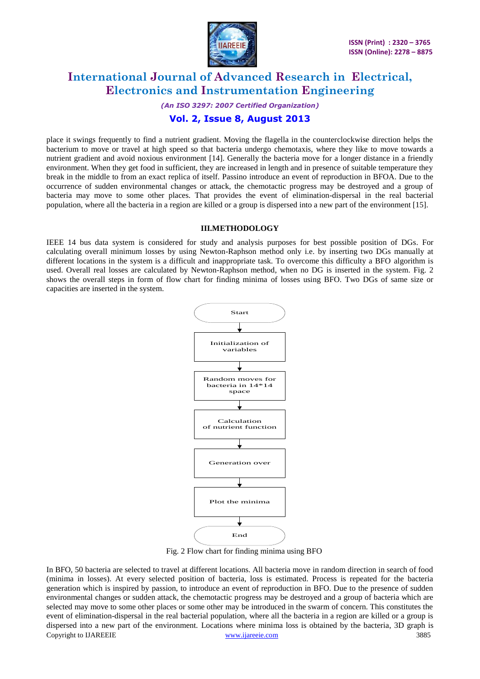

### *(An ISO 3297: 2007 Certified Organization)* **Vol. 2, Issue 8, August 2013**

place it swings frequently to find a nutrient gradient. Moving the flagella in the counterclockwise direction helps the bacterium to move or travel at high speed so that bacteria undergo chemotaxis, where they like to move towards a nutrient gradient and avoid noxious environment [14]. Generally the bacteria move for a longer distance in a friendly environment. When they get food in sufficient, they are increased in length and in presence of suitable temperature they break in the middle to from an exact replica of itself. Passino introduce an event of reproduction in BFOA. Due to the occurrence of sudden environmental changes or attack, the chemotactic progress may be destroyed and a group of bacteria may move to some other places. That provides the event of elimination-dispersal in the real bacterial population, where all the bacteria in a region are killed or a group is dispersed into a new part of the environment [15].

#### **III.METHODOLOGY**

IEEE 14 bus data system is considered for study and analysis purposes for best possible position of DGs. For calculating overall minimum losses by using Newton-Raphson method only i.e. by inserting two DGs manually at different locations in the system is a difficult and inappropriate task. To overcome this difficulty a BFO algorithm is used. Overall real losses are calculated by Newton-Raphson method, when no DG is inserted in the system. Fig. 2 shows the overall steps in form of flow chart for finding minima of losses using BFO. Two DGs of same size or capacities are inserted in the system.



Fig. 2 Flow chart for finding minima using BFO

Copyright to IJAREEIE [www.ijareeie.com](http://www.ijareeie.com/) 3885 In BFO, 50 bacteria are selected to travel at different locations. All bacteria move in random direction in search of food (minima in losses). At every selected position of bacteria, loss is estimated. Process is repeated for the bacteria generation which is inspired by passion, to introduce an event of reproduction in BFO. Due to the presence of sudden environmental changes or sudden attack, the chemotactic progress may be destroyed and a group of bacteria which are selected may move to some other places or some other may be introduced in the swarm of concern. This constitutes the event of elimination-dispersal in the real bacterial population, where all the bacteria in a region are killed or a group is dispersed into a new part of the environment. Locations where minima loss is obtained by the bacteria, 3D graph is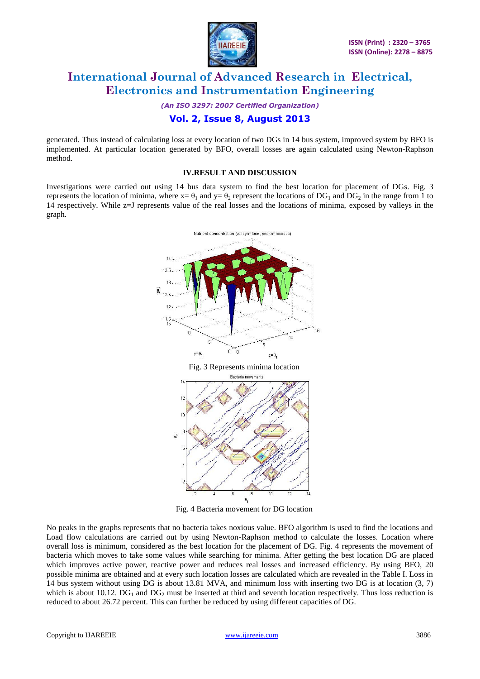

*(An ISO 3297: 2007 Certified Organization)*

### **Vol. 2, Issue 8, August 2013**

generated. Thus instead of calculating loss at every location of two DGs in 14 bus system, improved system by BFO is implemented. At particular location generated by BFO, overall losses are again calculated using Newton-Raphson method.

#### **IV.RESULT AND DISCUSSION**

Investigations were carried out using 14 bus data system to find the best location for placement of DGs. Fig. 3 represents the location of minima, where  $x = \theta_1$  and  $y = \theta_2$  represent the locations of DG<sub>1</sub> and DG<sub>2</sub> in the range from 1 to 14 respectively. While z=J represents value of the real losses and the locations of minima, exposed by valleys in the graph.



Fig. 4 Bacteria movement for DG location

No peaks in the graphs represents that no bacteria takes noxious value. BFO algorithm is used to find the locations and Load flow calculations are carried out by using Newton-Raphson method to calculate the losses. Location where overall loss is minimum, considered as the best location for the placement of DG. Fig. 4 represents the movement of bacteria which moves to take some values while searching for minima. After getting the best location DG are placed which improves active power, reactive power and reduces real losses and increased efficiency. By using BFO, 20 possible minima are obtained and at every such location losses are calculated which are revealed in the Table I. Loss in 14 bus system without using DG is about 13.81 MVA, and minimum loss with inserting two DG is at location (3, 7) which is about 10.12. DG<sub>1</sub> and DG<sub>2</sub> must be inserted at third and seventh location respectively. Thus loss reduction is reduced to about 26.72 percent. This can further be reduced by using different capacities of DG.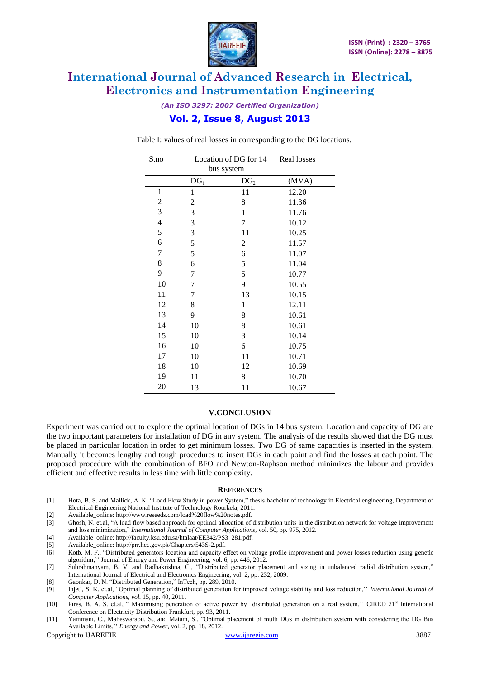

### *(An ISO 3297: 2007 Certified Organization)* **Vol. 2, Issue 8, August 2013**

Table I: values of real losses in corresponding to the DG locations.

| S.no           | Location of DG for 14<br>bus system |                 | Real losses |
|----------------|-------------------------------------|-----------------|-------------|
|                | DG <sub>1</sub>                     | DG <sub>2</sub> | (MVA)       |
| $\mathbf{1}$   | 1                                   | 11              | 12.20       |
| $\overline{c}$ | $\overline{c}$                      | 8               | 11.36       |
| 3              | 3                                   | $\mathbf{1}$    | 11.76       |
| $\overline{4}$ | 3                                   | 7               | 10.12       |
| 5              | 3                                   | 11              | 10.25       |
| 6              | 5                                   | $\overline{c}$  | 11.57       |
| 7              | 5                                   | 6               | 11.07       |
| 8              | 6                                   | 5               | 11.04       |
| 9              | 7                                   | 5               | 10.77       |
| 10             | 7                                   | 9               | 10.55       |
| 11             | 7                                   | 13              | 10.15       |
| 12             | 8                                   | $\mathbf{1}$    | 12.11       |
| 13             | 9                                   | 8               | 10.61       |
| 14             | 10                                  | 8               | 10.61       |
| 15             | 10                                  | 3               | 10.14       |
| 16             | 10                                  | 6               | 10.75       |
| 17             | 10                                  | 11              | 10.71       |
| 18             | 10                                  | 12              | 10.69       |
| 19             | 11                                  | 8               | 10.70       |
| 20             | 13                                  | 11              | 10.67       |

#### **V.CONCLUSION**

Experiment was carried out to explore the optimal location of DGs in 14 bus system. Location and capacity of DG are the two important parameters for installation of DG in any system. The analysis of the results showed that the DG must be placed in particular location in order to get minimum losses. Two DG of same capacities is inserted in the system. Manually it becomes lengthy and tough procedures to insert DGs in each point and find the losses at each point. The proposed procedure with the combination of BFO and Newton-Raphson method minimizes the labour and provides efficient and effective results in less time with little complexity.

#### **REFERENCES**

[1] Hota, B. S. and Mallick, A. K. "Load Flow Study in power System," thesis bachelor of technology in Electrical engineering, Department of Electrical Engineering National Institute of Technology Rourkela, 2011.

[2] Available\_online: http://www.reseeds.com/load%20flow%20notes.pdf.

- [3] Ghosh, N. et.al, "A load flow based approach for optimal allocation of distribution units in the distribution network for voltage improvement and loss minimization," *International Journal of Computer Applications,* vol. 50, pp*.* 975, 2012.
- [4] Available online: http://faculty.ksu.edu.sa/htalaat/EE342/PS3\_281.pdf.
- [5] Available\_online: http://prr.hec.gov.pk/Chapters/543S-2.pdf.
- [6] Kotb, M. F., "Distributed generators location and capacity effect on voltage profile improvement and power losses reduction using genetic algorithm,'' Journal of Energy and Power Engineering, vol. 6, pp. 446, 2012.
- [7] Subrahmanyam, B. V. and Radhakrishna, C., "Distributed generator placement and sizing in unbalanced radial distribution system," International Journal of Electrical and Electronics Engineering, vol. 2**,** pp. 232**,** 2009.
- [8] Gaonkar, D. N. "Distributed Generation," InTech*,* pp. 289, 2010.
- [9] Injeti, S. K. et.al, "Optimal planning of distributed generation for improved voltage stability and loss reduction,'' *International Journal of Computer Applications, vol.* 15, pp. 40, 2011.
- [10] Pires, B. A. S. et.al, " Maximising peneration of active power by distributed generation on a real system," CIRED 21<sup>st</sup> International Conference on Electricity Distribution Frankfurt, pp. 93, 2011.
- [11] Yammani, C., Maheswarapu, S., and Matam, S., "Optimal placement of multi DGs in distribution system with considering the DG Bus Available Limits,'' *Energy and Power*, vol. 2, pp. 18, 2012.